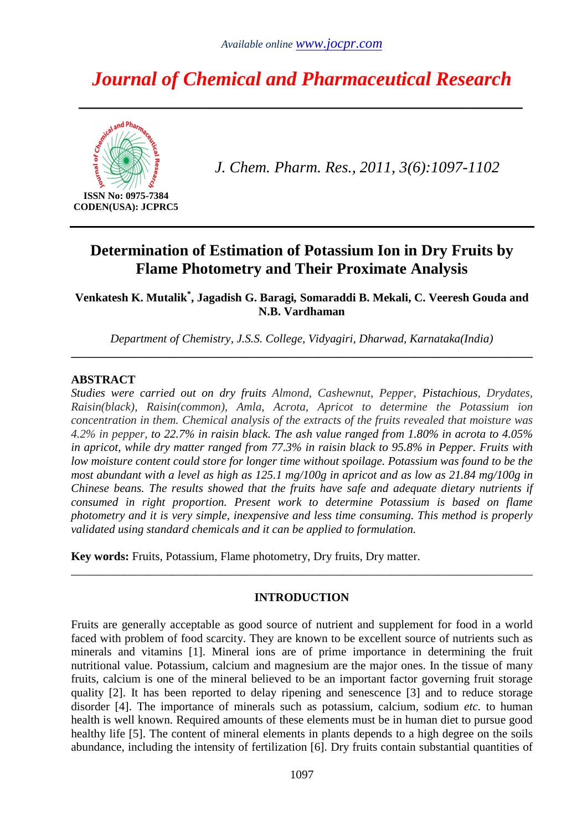# *Journal of Chemical and Pharmaceutical Research*

*\_\_\_\_\_\_\_\_\_\_\_\_\_\_\_\_\_\_\_\_\_\_\_\_\_\_\_\_\_\_\_\_\_\_\_\_\_\_\_\_\_\_\_\_\_\_\_\_\_\_* 



**CODEN(USA): JCPRC5** 

*J. Chem. Pharm. Res., 2011, 3(6):1097-1102*

# **Determination of Estimation of Potassium Ion in Dry Fruits by Flame Photometry and Their Proximate Analysis**

**Venkatesh K. Mutalik\* , Jagadish G. Baragi***,* **Somaraddi B. Mekali, C. Veeresh Gouda and N.B. Vardhaman**

*Department of Chemistry, J.S.S. College, Vidyagiri, Dharwad, Karnataka(India)*  **\_\_\_\_\_\_\_\_\_\_\_\_\_\_\_\_\_\_\_\_\_\_\_\_\_\_\_\_\_\_\_\_\_\_\_\_\_\_\_\_\_\_\_\_\_\_\_\_\_\_\_\_\_\_\_\_\_\_\_\_\_\_\_\_\_\_\_\_\_\_\_\_\_\_\_\_\_\_** 

#### **ABSTRACT**

*Studies were carried out on dry fruits Almond, Cashewnut, Pepper, Pistachious, Drydates, Raisin(black), Raisin(common), Amla, Acrota, Apricot to determine the Potassium ion concentration in them. Chemical analysis of the extracts of the fruits revealed that moisture was 4.2% in pepper, to 22.7% in raisin black. The ash value ranged from 1.80% in acrota to 4.05% in apricot, while dry matter ranged from 77.3% in raisin black to 95.8% in Pepper. Fruits with low moisture content could store for longer time without spoilage. Potassium was found to be the most abundant with a level as high as 125.1 mg/100g in apricot and as low as 21.84 mg/100g in Chinese beans. The results showed that the fruits have safe and adequate dietary nutrients if consumed in right proportion. Present work to determine Potassium is based on flame photometry and it is very simple, inexpensive and less time consuming. This method is properly validated using standard chemicals and it can be applied to formulation.* 

**Key words:** Fruits, Potassium, Flame photometry, Dry fruits, Dry matter.

# **INTRODUCTION**

\_\_\_\_\_\_\_\_\_\_\_\_\_\_\_\_\_\_\_\_\_\_\_\_\_\_\_\_\_\_\_\_\_\_\_\_\_\_\_\_\_\_\_\_\_\_\_\_\_\_\_\_\_\_\_\_\_\_\_\_\_\_\_\_\_\_\_\_\_\_\_\_\_\_\_\_\_\_

Fruits are generally acceptable as good source of nutrient and supplement for food in a world faced with problem of food scarcity. They are known to be excellent source of nutrients such as minerals and vitamins [1]. Mineral ions are of prime importance in determining the fruit nutritional value. Potassium, calcium and magnesium are the major ones. In the tissue of many fruits, calcium is one of the mineral believed to be an important factor governing fruit storage quality [2]. It has been reported to delay ripening and senescence [3] and to reduce storage disorder [4]. The importance of minerals such as potassium, calcium, sodium *etc.* to human health is well known. Required amounts of these elements must be in human diet to pursue good healthy life [5]. The content of mineral elements in plants depends to a high degree on the soils abundance, including the intensity of fertilization [6]. Dry fruits contain substantial quantities of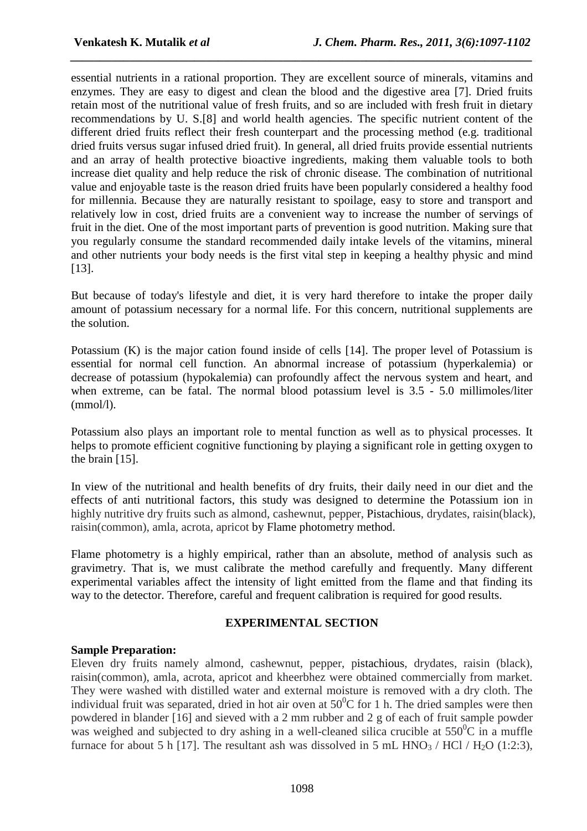essential nutrients in a rational proportion. They are excellent source of minerals, vitamins and enzymes. They are easy to digest and clean the blood and the digestive area [7]. Dried fruits retain most of the nutritional value of fresh fruits, and so are included with fresh fruit in dietary recommendations by U. S.[8] and world health agencies. The specific nutrient content of the different dried fruits reflect their fresh counterpart and the processing method (e.g. traditional dried fruits versus sugar infused dried fruit). In general, all dried fruits provide essential nutrients and an array of health protective bioactive ingredients, making them valuable tools to both increase diet quality and help reduce the risk of chronic disease. The combination of nutritional value and enjoyable taste is the reason dried fruits have been popularly considered a healthy food for millennia. Because they are naturally resistant to spoilage, easy to store and transport and relatively low in cost, dried fruits are a convenient way to increase the number of servings of fruit in the diet. One of the most important parts of prevention is good nutrition. Making sure that you regularly consume the standard recommended daily intake levels of the vitamins, mineral and other nutrients your body needs is the first vital step in keeping a healthy physic and mind [13].

*\_\_\_\_\_\_\_\_\_\_\_\_\_\_\_\_\_\_\_\_\_\_\_\_\_\_\_\_\_\_\_\_\_\_\_\_\_\_\_\_\_\_\_\_\_\_\_\_\_\_\_\_\_\_\_\_\_\_\_\_\_\_\_\_\_\_\_\_\_\_\_\_\_\_\_\_\_\_*

But because of today's lifestyle and diet, it is very hard therefore to intake the proper daily amount of potassium necessary for a normal life. For this concern, nutritional supplements are the solution.

Potassium (K) is the major cation found inside of cells [14]. The proper level of Potassium is essential for normal cell function. An abnormal increase of potassium (hyperkalemia) or decrease of potassium (hypokalemia) can profoundly affect the nervous system and heart, and when extreme, can be fatal. The normal blood potassium level is 3.5 - 5.0 millimoles/liter (mmol/l).

Potassium also plays an important role to mental function as well as to physical processes. It helps to promote efficient cognitive functioning by playing a significant role in getting oxygen to the brain [15].

In view of the nutritional and health benefits of dry fruits, their daily need in our diet and the effects of anti nutritional factors, this study was designed to determine the Potassium ion in highly nutritive dry fruits such as almond, cashewnut, pepper, Pistachious, drydates, raisin(black), raisin(common), amla, acrota, apricot by Flame photometry method.

Flame photometry is a highly empirical, rather than an absolute, method of analysis such as gravimetry. That is, we must calibrate the method carefully and frequently. Many different experimental variables affect the intensity of light emitted from the flame and that finding its way to the detector. Therefore, careful and frequent calibration is required for good results.

# **EXPERIMENTAL SECTION**

# **Sample Preparation:**

Eleven dry fruits namely almond, cashewnut, pepper, pistachious, drydates, raisin (black), raisin(common), amla, acrota, apricot and kheerbhez were obtained commercially from market. They were washed with distilled water and external moisture is removed with a dry cloth. The individual fruit was separated, dried in hot air oven at  $50^{\circ}$ C for 1 h. The dried samples were then powdered in blander [16] and sieved with a 2 mm rubber and 2 g of each of fruit sample powder was weighed and subjected to dry ashing in a well-cleaned silica crucible at  $550^{\circ}$ C in a muffle furnace for about 5 h [17]. The resultant ash was dissolved in 5 mL HNO<sub>3</sub> / HCl / H<sub>2</sub>O (1:2:3),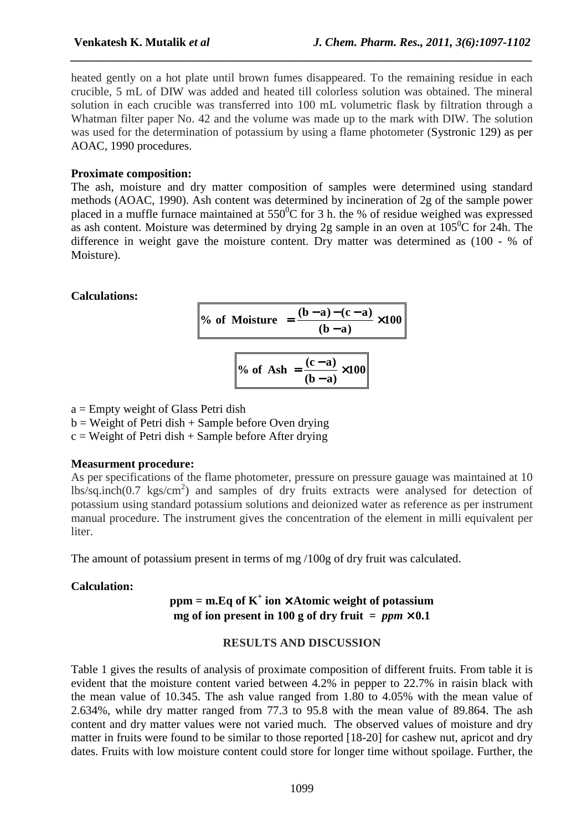heated gently on a hot plate until brown fumes disappeared. To the remaining residue in each crucible, 5 mL of DIW was added and heated till colorless solution was obtained. The mineral solution in each crucible was transferred into 100 mL volumetric flask by filtration through a Whatman filter paper No. 42 and the volume was made up to the mark with DIW. The solution was used for the determination of potassium by using a flame photometer (Systronic 129) as per AOAC, 1990 procedures.

*\_\_\_\_\_\_\_\_\_\_\_\_\_\_\_\_\_\_\_\_\_\_\_\_\_\_\_\_\_\_\_\_\_\_\_\_\_\_\_\_\_\_\_\_\_\_\_\_\_\_\_\_\_\_\_\_\_\_\_\_\_\_\_\_\_\_\_\_\_\_\_\_\_\_\_\_\_\_*

#### **Proximate composition:**

The ash, moisture and dry matter composition of samples were determined using standard methods (AOAC, 1990). Ash content was determined by incineration of 2g of the sample power placed in a muffle furnace maintained at  $550^{\circ}$ C for 3 h. the % of residue weighed was expressed as ash content. Moisture was determined by drying 2g sample in an oven at  $105^{\circ}$ C for 24h. The difference in weight gave the moisture content. Dry matter was determined as (100 - % of Moisture).

#### **Calculations:**

**100**  $(b-a)$ % of Moisture  $= \frac{(b-a)-(c-a)}{a-a} \times$ −  $=\frac{(b-a)-(c-a)}{c-a}$ 

$$
\% \text{ of Ash} = \frac{(c-a)}{(b-a)} \times 100
$$

 $a =$  Empty weight of Glass Petri dish

 $b = Weight of Petri dish + Sample before Over drying$ 

 $c = Weight of Petri dish + Sample before After drying$ 

#### **Measurment procedure:**

As per specifications of the flame photometer, pressure on pressure gauage was maintained at 10 lbs/sq.inch(0.7 kgs/cm<sup>2</sup>) and samples of dry fruits extracts were analysed for detection of potassium using standard potassium solutions and deionized water as reference as per instrument manual procedure. The instrument gives the concentration of the element in milli equivalent per liter.

The amount of potassium present in terms of mg /100g of dry fruit was calculated.

#### **Calculation:**

# **ppm = m.Eq of K<sup>+</sup> ion** × **Atomic weight of potassium mg** of ion present in 100 g of dry fruit  $=$  *ppm*  $\times$  0.1

#### **RESULTS AND DISCUSSION**

Table 1 gives the results of analysis of proximate composition of different fruits. From table it is evident that the moisture content varied between 4.2% in pepper to 22.7% in raisin black with the mean value of 10.345. The ash value ranged from 1.80 to 4.05% with the mean value of 2.634%, while dry matter ranged from 77.3 to 95.8 with the mean value of 89.864. The ash content and dry matter values were not varied much. The observed values of moisture and dry matter in fruits were found to be similar to those reported [18-20] for cashew nut, apricot and dry dates. Fruits with low moisture content could store for longer time without spoilage. Further, the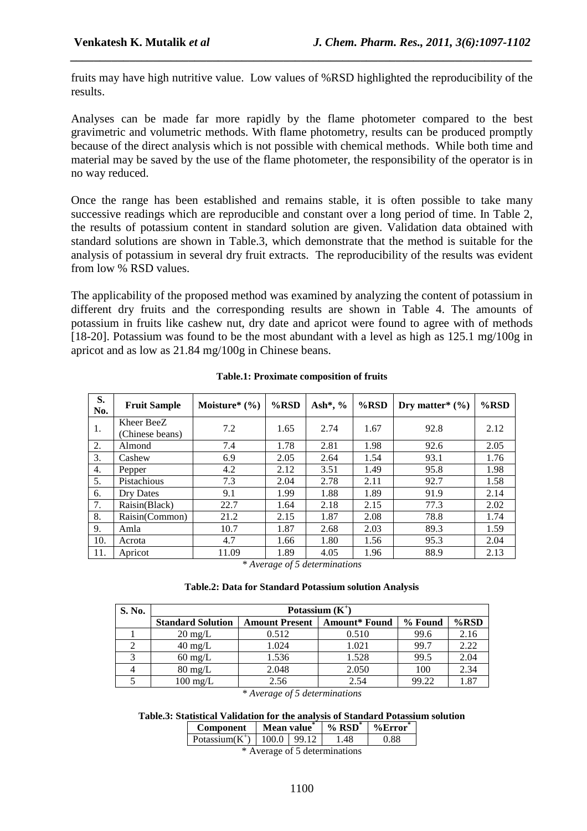fruits may have high nutritive value. Low values of %RSD highlighted the reproducibility of the results.

*\_\_\_\_\_\_\_\_\_\_\_\_\_\_\_\_\_\_\_\_\_\_\_\_\_\_\_\_\_\_\_\_\_\_\_\_\_\_\_\_\_\_\_\_\_\_\_\_\_\_\_\_\_\_\_\_\_\_\_\_\_\_\_\_\_\_\_\_\_\_\_\_\_\_\_\_\_\_*

Analyses can be made far more rapidly by the flame photometer compared to the best gravimetric and volumetric methods. With flame photometry, results can be produced promptly because of the direct analysis which is not possible with chemical methods. While both time and material may be saved by the use of the flame photometer, the responsibility of the operator is in no way reduced.

Once the range has been established and remains stable, it is often possible to take many successive readings which are reproducible and constant over a long period of time. In Table 2, the results of potassium content in standard solution are given. Validation data obtained with standard solutions are shown in Table.3, which demonstrate that the method is suitable for the analysis of potassium in several dry fruit extracts. The reproducibility of the results was evident from low % RSD values.

The applicability of the proposed method was examined by analyzing the content of potassium in different dry fruits and the corresponding results are shown in Table 4. The amounts of potassium in fruits like cashew nut, dry date and apricot were found to agree with of methods [18-20]. Potassium was found to be the most abundant with a level as high as 125.1 mg/100g in apricot and as low as 21.84 mg/100g in Chinese beans.

| S.<br>No. | <b>Fruit Sample</b>           | Moisture* $(\% )$ | $%$ RSD | Ash*, $\%$ | $%$ RSD | Dry matter* $(\% )$ | $%$ RSD |
|-----------|-------------------------------|-------------------|---------|------------|---------|---------------------|---------|
| 1.        | Kheer BeeZ<br>(Chinese beans) | 7.2               | 1.65    | 2.74       | 1.67    | 92.8                | 2.12    |
| 2.        | Almond                        | 7.4               | 1.78    | 2.81       | 1.98    | 92.6                | 2.05    |
| 3.        | Cashew                        | 6.9               | 2.05    | 2.64       | 1.54    | 93.1                | 1.76    |
| 4.        | Pepper                        | 4.2               | 2.12    | 3.51       | 1.49    | 95.8                | 1.98    |
| 5.        | Pistachious                   | 7.3               | 2.04    | 2.78       | 2.11    | 92.7                | 1.58    |
| 6.        | Dry Dates                     | 9.1               | 1.99    | 1.88       | 1.89    | 91.9                | 2.14    |
| 7.        | Raisin(Black)                 | 22.7              | 1.64    | 2.18       | 2.15    | 77.3                | 2.02    |
| 8.        | Raisin(Common)                | 21.2              | 2.15    | 1.87       | 2.08    | 78.8                | 1.74    |
| 9.        | Amla                          | 10.7              | 1.87    | 2.68       | 2.03    | 89.3                | 1.59    |
| 10.       | Acrota                        | 4.7               | 1.66    | 1.80       | 1.56    | 95.3                | 2.04    |
| 11.       | Apricot                       | 11.09             | 1.89    | 4.05       | 1.96    | 88.9                | 2.13    |

|  | <b>Table.1: Proximate composition of fruits</b> |
|--|-------------------------------------------------|
|--|-------------------------------------------------|

*\* Average of 5 determinations* 

|  |  | Table.2: Data for Standard Potassium solution Analysis |  |  |
|--|--|--------------------------------------------------------|--|--|
|--|--|--------------------------------------------------------|--|--|

| S. No. | Potassium $(K^+)$        |                       |                      |         |         |  |  |
|--------|--------------------------|-----------------------|----------------------|---------|---------|--|--|
|        | <b>Standard Solution</b> | <b>Amount Present</b> | <b>Amount*</b> Found | % Found | $%$ RSD |  |  |
|        | $20 \text{ mg/L}$        | 0.512                 | 0.510                | 99.6    | 2.16    |  |  |
|        | $40 \text{ mg/L}$        | 1.024                 | 1.021                | 99.7    | 2.22    |  |  |
|        | $60 \text{ mg/L}$        | 1.536                 | 1.528                | 99.5    | 2.04    |  |  |
|        | $80 \text{ mg/L}$        | 2.048                 | 2.050                | 100     | 2.34    |  |  |
|        | $100 \text{ mg/L}$       | 2.56                  | 2.54                 | 99.22   | 1.87    |  |  |

*\* Average of 5 determinations* 

#### **Table.3: Statistical Validation for the analysis of Standard Potassium solution**

| Component         | Mean value |      | $\%$ RSD <sup>*</sup> | $%$ Error |  |
|-------------------|------------|------|-----------------------|-----------|--|
| Potassium $(K^+)$ | 100.0      | 9912 | 48                    | O 88      |  |

\* Average of 5 determinations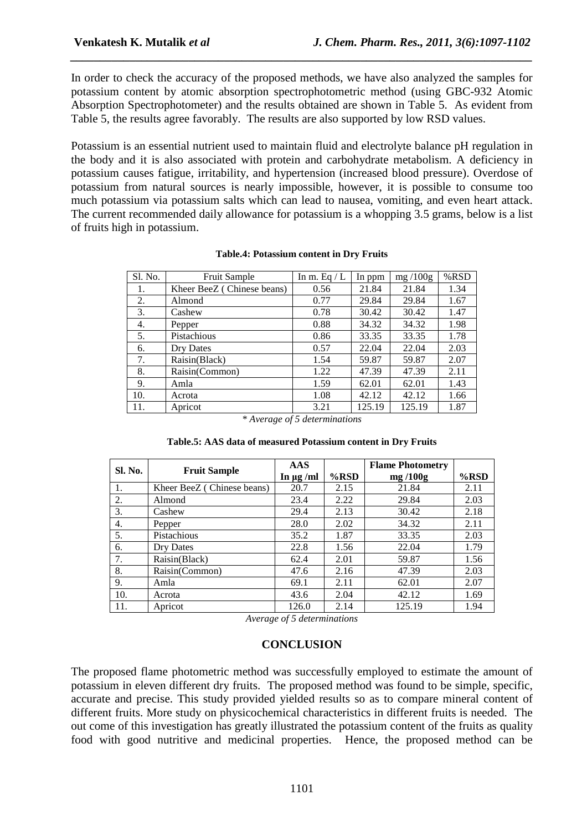In order to check the accuracy of the proposed methods, we have also analyzed the samples for potassium content by atomic absorption spectrophotometric method (using GBC-932 Atomic Absorption Spectrophotometer) and the results obtained are shown in Table 5. As evident from Table 5, the results agree favorably. The results are also supported by low RSD values.

*\_\_\_\_\_\_\_\_\_\_\_\_\_\_\_\_\_\_\_\_\_\_\_\_\_\_\_\_\_\_\_\_\_\_\_\_\_\_\_\_\_\_\_\_\_\_\_\_\_\_\_\_\_\_\_\_\_\_\_\_\_\_\_\_\_\_\_\_\_\_\_\_\_\_\_\_\_\_*

Potassium is an essential nutrient used to maintain fluid and electrolyte balance pH regulation in the body and it is also associated with protein and carbohydrate metabolism. A deficiency in potassium causes fatigue, irritability, and hypertension (increased blood pressure). Overdose of potassium from natural sources is nearly impossible, however, it is possible to consume too much potassium via potassium salts which can lead to nausea, vomiting, and even heart attack. The current recommended daily allowance for potassium is a whopping 3.5 grams, below is a list of fruits high in potassium.

| Sl. No. | <b>Fruit Sample</b>        | In m. Eq $/L$ | In ppm | mg/100g | %RSD |
|---------|----------------------------|---------------|--------|---------|------|
| 1.      | Kheer BeeZ (Chinese beans) | 0.56          | 21.84  | 21.84   | 1.34 |
| 2.      | Almond                     | 0.77          | 29.84  | 29.84   | 1.67 |
| 3.      | Cashew                     | 0.78          | 30.42  | 30.42   | 1.47 |
| 4.      | Pepper                     | 0.88          | 34.32  | 34.32   | 1.98 |
| 5.      | Pistachious                | 0.86          | 33.35  | 33.35   | 1.78 |
| 6.      | Dry Dates                  | 0.57          | 22.04  | 22.04   | 2.03 |
| 7.      | Raisin(Black)              | 1.54          | 59.87  | 59.87   | 2.07 |
| 8.      | Raisin(Common)             | 1.22          | 47.39  | 47.39   | 2.11 |
| 9.      | Amla                       | 1.59          | 62.01  | 62.01   | 1.43 |
| 10.     | Acrota                     | 1.08          | 42.12  | 42.12   | 1.66 |
| 11.     | Apricot                    | 3.21          | 125.19 | 125.19  | 1.87 |

#### **Table.4: Potassium content in Dry Fruits**

*\* Average of 5 determinations* 

|         |                            | <b>AAS</b>     |         | <b>Flame Photometry</b> |         |
|---------|----------------------------|----------------|---------|-------------------------|---------|
| Sl. No. | <b>Fruit Sample</b>        | In $\mu$ g /ml | $%$ RSD | mg/100g                 | $%$ RSD |
| 1.      | Kheer BeeZ (Chinese beans) | 20.7           | 2.15    | 21.84                   | 2.11    |
| 2.      | Almond                     | 23.4           | 2.22    | 29.84                   | 2.03    |
| 3.      | Cashew                     | 29.4           | 2.13    | 30.42                   | 2.18    |
| 4.      | Pepper                     | 28.0           | 2.02    | 34.32                   | 2.11    |
| 5.      | Pistachious                | 35.2           | 1.87    | 33.35                   | 2.03    |
| 6.      | Dry Dates                  | 22.8           | 1.56    | 22.04                   | 1.79    |
| 7.      | Raisin(Black)              | 62.4           | 2.01    | 59.87                   | 1.56    |
| 8.      | Raisin(Common)             | 47.6           | 2.16    | 47.39                   | 2.03    |
| 9.      | Amla                       | 69.1           | 2.11    | 62.01                   | 2.07    |
| 10.     | Acrota                     | 43.6           | 2.04    | 42.12                   | 1.69    |
| 11.     | Apricot                    | 126.0          | 2.14    | 125.19                  | 1.94    |

#### **Table.5: AAS data of measured Potassium content in Dry Fruits**

*Average of 5 determinations* 

#### **CONCLUSION**

The proposed flame photometric method was successfully employed to estimate the amount of potassium in eleven different dry fruits. The proposed method was found to be simple, specific, accurate and precise. This study provided yielded results so as to compare mineral content of different fruits. More study on physicochemical characteristics in different fruits is needed. The out come of this investigation has greatly illustrated the potassium content of the fruits as quality food with good nutritive and medicinal properties. Hence, the proposed method can be